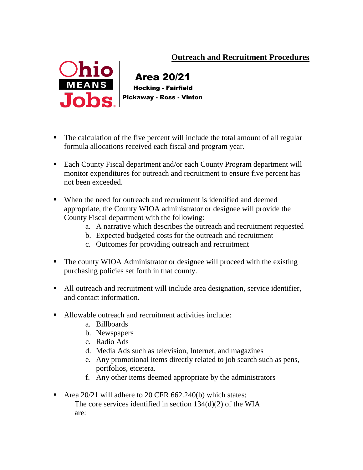## **Outreach and Recruitment Procedures**



 Area 20/21 Hocking - Fairfield Pickaway - Ross - Vinton

- The calculation of the five percent will include the total amount of all regular formula allocations received each fiscal and program year.
- Each County Fiscal department and/or each County Program department will monitor expenditures for outreach and recruitment to ensure five percent has not been exceeded.
- When the need for outreach and recruitment is identified and deemed appropriate, the County WIOA administrator or designee will provide the County Fiscal department with the following:
	- a. A narrative which describes the outreach and recruitment requested
	- b. Expected budgeted costs for the outreach and recruitment
	- c. Outcomes for providing outreach and recruitment
- The county WIOA Administrator or designee will proceed with the existing purchasing policies set forth in that county.
- All outreach and recruitment will include area designation, service identifier, and contact information.
- Allowable outreach and recruitment activities include:
	- a. Billboards
	- b. Newspapers
	- c. Radio Ads
	- d. Media Ads such as television, Internet, and magazines
	- e. Any promotional items directly related to job search such as pens, portfolios, etcetera.
	- f. Any other items deemed appropriate by the administrators
- Area 20/21 will adhere to 20 CFR 662.240(b) which states: The core services identified in section 134(d)(2) of the WIA are: